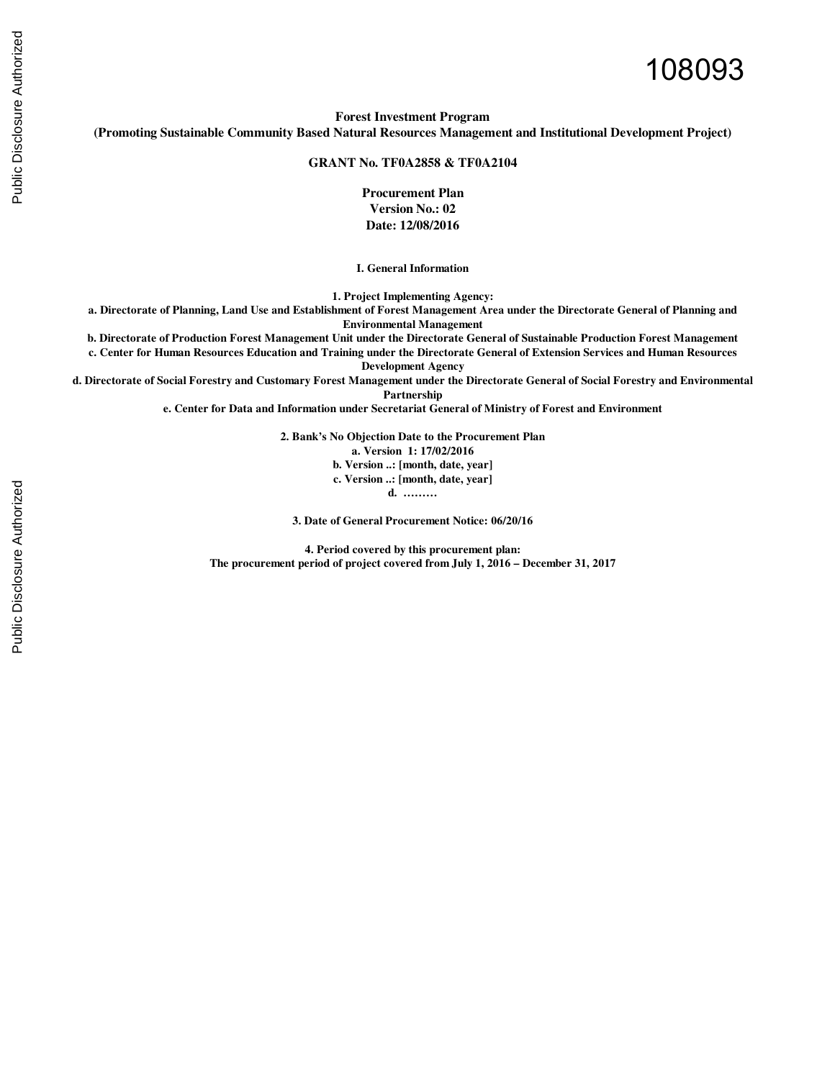# 108093

**Forest Investment Program (Promoting Sustainable Community Based Natural Resources Management and Institutional Development Project)**

**GRANT No. TF0A2858 & TF0A2104**

**Procurement Plan Version No.: 02 Date: 12/08/2016** 

**I. General Information**

**1. Project Implementing Agency:**

**a. Directorate of Planning, Land Use and Establishment of Forest Management Area under the Directorate General of Planning and Environmental Management**

**b. Directorate of Production Forest Management Unit under the Directorate General of Sustainable Production Forest Management**

**c. Center for Human Resources Education and Training under the Directorate General of Extension Services and Human Resources Development Agency**

**d. Directorate of Social Forestry and Customary Forest Management under the Directorate General of Social Forestry and Environmental** 

**Partnership**

**e. Center for Data and Information under Secretariat General of Ministry of Forest and Environment**

**2. Bank's No Objection Date to the Procurement Plan** 

**a. Version 1: 17/02/2016**

**b. Version ..: [month, date, year]**

**c. Version ..: [month, date, year]**

**d. ………**

**3. Date of General Procurement Notice: 06/20/16**

**4. Period covered by this procurement plan: The procurement period of project covered from July 1, 2016 – December 31, 2017**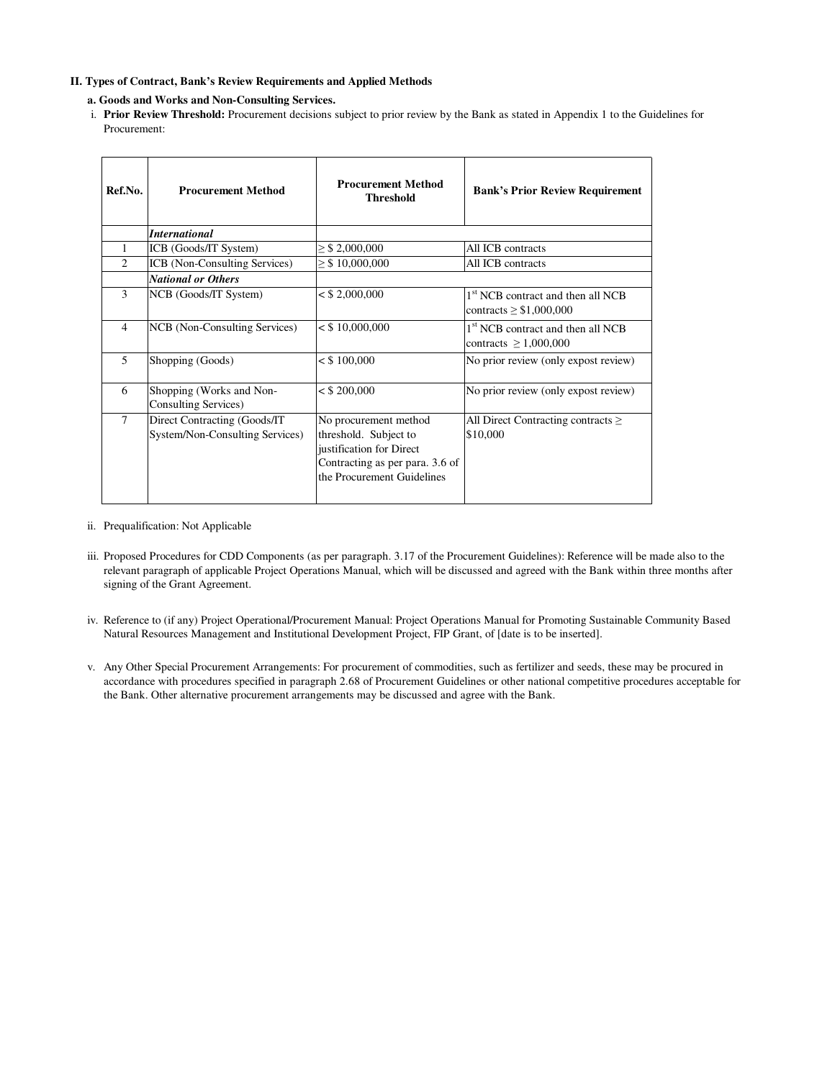## **II. Types of Contract, Bank's Review Requirements and Applied Methods**

## **a. Goods and Works and Non-Consulting Services.**

i. **Prior Review Threshold:** Procurement decisions subject to prior review by the Bank as stated in Appendix 1 to the Guidelines for Procurement:

| Ref.No.                     | <b>Procurement Method</b>                                        | <b>Procurement Method</b><br><b>Threshold</b>                                                                                               | <b>Bank's Prior Review Requirement</b>                                        |
|-----------------------------|------------------------------------------------------------------|---------------------------------------------------------------------------------------------------------------------------------------------|-------------------------------------------------------------------------------|
|                             | <b>International</b>                                             |                                                                                                                                             |                                                                               |
| 1                           | ICB (Goods/IT System)                                            | $\geq$ \$ 2,000,000                                                                                                                         | All ICB contracts                                                             |
| $\mathcal{D}_{\mathcal{L}}$ | ICB (Non-Consulting Services)                                    | $\geq$ \$10,000,000                                                                                                                         | All ICB contracts                                                             |
|                             | <b>National or Others</b>                                        |                                                                                                                                             |                                                                               |
| 3                           | NCB (Goods/IT System)                                            | $<$ \$ 2,000,000                                                                                                                            | 1 <sup>st</sup> NCB contract and then all NCB<br>contracts $\geq$ \$1,000,000 |
| $\overline{4}$              | NCB (Non-Consulting Services)                                    | $<$ \$10,000,000                                                                                                                            | 1 <sup>st</sup> NCB contract and then all NCB<br>contracts $\geq 1,000,000$   |
| 5                           | Shopping (Goods)                                                 | $<$ \$ 100,000                                                                                                                              | No prior review (only expost review)                                          |
| 6                           | Shopping (Works and Non-<br>Consulting Services)                 | $<$ \$ 200,000                                                                                                                              | No prior review (only expost review)                                          |
| $\overline{7}$              | Direct Contracting (Goods/IT)<br>System/Non-Consulting Services) | No procurement method<br>threshold. Subject to<br>justification for Direct<br>Contracting as per para. 3.6 of<br>the Procurement Guidelines | All Direct Contracting contracts $\geq$<br>\$10,000                           |

- ii. Prequalification: Not Applicable
- iii. Proposed Procedures for CDD Components (as per paragraph. 3.17 of the Procurement Guidelines): Reference will be made also to the relevant paragraph of applicable Project Operations Manual, which will be discussed and agreed with the Bank within three months after signing of the Grant Agreement.
- iv. Reference to (if any) Project Operational/Procurement Manual: Project Operations Manual for Promoting Sustainable Community Based Natural Resources Management and Institutional Development Project, FIP Grant, of [date is to be inserted].
- v. Any Other Special Procurement Arrangements: For procurement of commodities, such as fertilizer and seeds, these may be procured in accordance with procedures specified in paragraph 2.68 of Procurement Guidelines or other national competitive procedures acceptable for the Bank. Other alternative procurement arrangements may be discussed and agree with the Bank.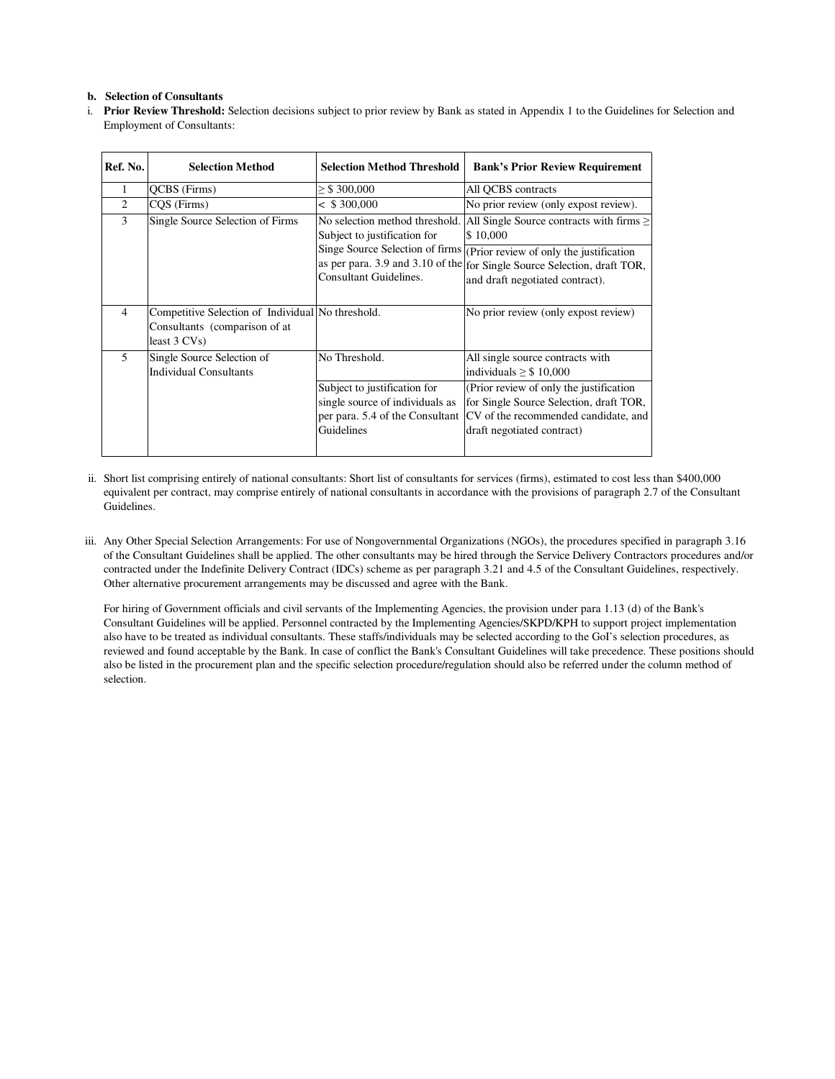#### **b. Selection of Consultants**

i. **Prior Review Threshold:** Selection decisions subject to prior review by Bank as stated in Appendix 1 to the Guidelines for Selection and Employment of Consultants:

| Ref. No.       | <b>Selection Method</b>                                                                               | <b>Selection Method Threshold</b>                                                                                | <b>Bank's Prior Review Requirement</b>                                                                                                                                                 |  |  |  |
|----------------|-------------------------------------------------------------------------------------------------------|------------------------------------------------------------------------------------------------------------------|----------------------------------------------------------------------------------------------------------------------------------------------------------------------------------------|--|--|--|
| 1              | QCBS (Firms)                                                                                          | $\geq$ \$ 300,000                                                                                                | All QCBS contracts                                                                                                                                                                     |  |  |  |
| $\overline{c}$ | CQS (Firms)                                                                                           | < \$300,000                                                                                                      | No prior review (only expost review).                                                                                                                                                  |  |  |  |
| 3              | Single Source Selection of Firms                                                                      | No selection method threshold.<br>Subject to justification for                                                   | All Single Source contracts with firms $\geq$<br>\$10,000                                                                                                                              |  |  |  |
|                |                                                                                                       | Consultant Guidelines.                                                                                           | Singe Source Selection of firms (Prior review of only the justification<br>as per para. 3.9 and 3.10 of the for Single Source Selection, draft TOR,<br>and draft negotiated contract). |  |  |  |
| $\overline{4}$ | Competitive Selection of Individual No threshold.<br>Consultants (comparison of at<br>least $3 CVs$ ) |                                                                                                                  | No prior review (only expost review)                                                                                                                                                   |  |  |  |
| 5              | Single Source Selection of<br>Individual Consultants                                                  | No Threshold.                                                                                                    | All single source contracts with<br>individuals $\geq$ \$ 10,000                                                                                                                       |  |  |  |
|                |                                                                                                       | Subject to justification for<br>single source of individuals as<br>per para. 5.4 of the Consultant<br>Guidelines | (Prior review of only the justification)<br>for Single Source Selection, draft TOR,<br>CV of the recommended candidate, and<br>draft negotiated contract)                              |  |  |  |

- ii. Short list comprising entirely of national consultants: Short list of consultants for services (firms), estimated to cost less than \$400,000 equivalent per contract, may comprise entirely of national consultants in accordance with the provisions of paragraph 2.7 of the Consultant Guidelines.
- iii. Any Other Special Selection Arrangements: For use of Nongovernmental Organizations (NGOs), the procedures specified in paragraph 3.16 of the Consultant Guidelines shall be applied. The other consultants may be hired through the Service Delivery Contractors procedures and/or contracted under the Indefinite Delivery Contract (IDCs) scheme as per paragraph 3.21 and 4.5 of the Consultant Guidelines, respectively. Other alternative procurement arrangements may be discussed and agree with the Bank.

For hiring of Government officials and civil servants of the Implementing Agencies, the provision under para 1.13 (d) of the Bank's Consultant Guidelines will be applied. Personnel contracted by the Implementing Agencies/SKPD/KPH to support project implementation also have to be treated as individual consultants. These staffs/individuals may be selected according to the GoI's selection procedures, as reviewed and found acceptable by the Bank. In case of conflict the Bank's Consultant Guidelines will take precedence. These positions should also be listed in the procurement plan and the specific selection procedure/regulation should also be referred under the column method of selection.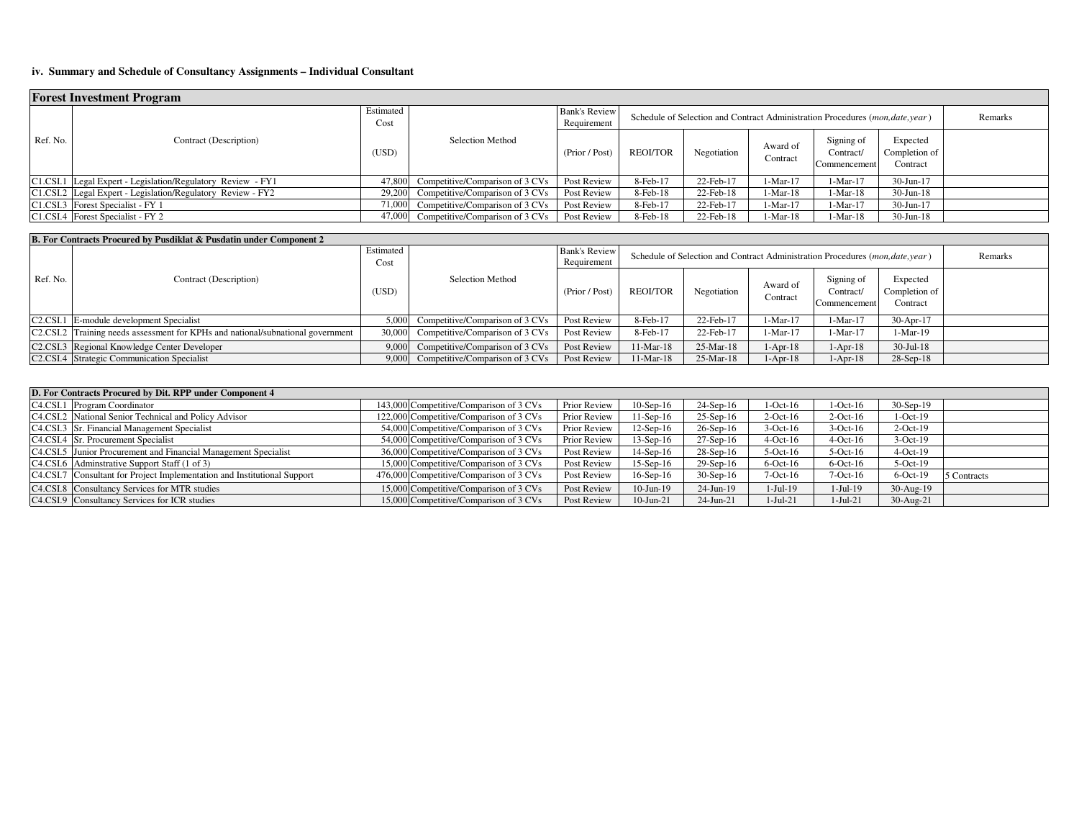## **iv. Summary and Schedule of Consultancy Assignments – Individual Consultant**

| <b>Forest Investment Program</b> |                                                             |                   |                                 |                              |                                                                                       |             |                      |                                         |                                       |         |  |
|----------------------------------|-------------------------------------------------------------|-------------------|---------------------------------|------------------------------|---------------------------------------------------------------------------------------|-------------|----------------------|-----------------------------------------|---------------------------------------|---------|--|
|                                  |                                                             | Estimated<br>Cost |                                 | Bank's Review<br>Requirement | Schedule of Selection and Contract Administration Procedures ( <i>mon,date,year</i> ) |             |                      |                                         |                                       | Remarks |  |
| Ref. No.                         | Contract (Description)                                      | (USD)             | <b>Selection Method</b>         | (Prior / Post)               | <b>REOI/TOR</b>                                                                       | Negotiation | Award of<br>Contract | Signing of<br>Contract/<br>Commencement | Expected<br>Completion of<br>Contract |         |  |
|                                  | C1.CSI.1 Legal Expert - Legislation/Regulatory Review - FY1 | 47,800            | Competitive/Comparison of 3 CVs | Post Review                  | 8-Feb-17                                                                              | 22-Feb-17   | $1-Mar-17$           | $1-Mar-17$                              | $30-Jun-17$                           |         |  |
|                                  | C1.CSI.2 Legal Expert - Legislation/Regulatory Review - FY2 | 29,200            | Competitive/Comparison of 3 CVs | <b>Post Review</b>           | 8-Feb-18                                                                              | 22-Feb-18   | $1-Mar-18$           | 1-Mar-18                                | $30$ -Jun-18                          |         |  |
|                                  | C1.CSI.3 Forest Specialist - FY 1                           | 71,000            | Competitive/Comparison of 3 CVs | Post Review                  | 8-Feb-17                                                                              | 22-Feb-17   | $1-Mar-17$           | 1-Mar-17                                | $30-Jun-17$                           |         |  |
|                                  | C1.CSI.4 Forest Specialist - FY 2                           | 47.000            | Competitive/Comparison of 3 CVs | <b>Post Review</b>           | $8$ -Feb- $18$                                                                        | 22-Feb-18   | $1-Mar-18$           | 1-Mar-18                                | $30$ -Jun-18                          |         |  |

|          | <b>B. For Contracts Procured by Pusdiklat &amp; Pusdatin under Component 2</b>                                      |                   |                                 |                              |                                                                                |             |                      |                                         |                                       |  |  |  |  |
|----------|---------------------------------------------------------------------------------------------------------------------|-------------------|---------------------------------|------------------------------|--------------------------------------------------------------------------------|-------------|----------------------|-----------------------------------------|---------------------------------------|--|--|--|--|
|          | Contract (Description)                                                                                              | Estimated<br>Cost |                                 | Bank's Review<br>Requirement | Schedule of Selection and Contract Administration Procedures (mon, date, year) | Remarks     |                      |                                         |                                       |  |  |  |  |
| Ref. No. |                                                                                                                     | (USD)             | Selection Method                | (Prior / Post)               | <b>REOLTOR</b>                                                                 | Negotiation | Award of<br>Contract | Signing of<br>Contract/<br>Commencement | Expected<br>Completion of<br>Contract |  |  |  |  |
|          | C <sub>2</sub> .C <sub>SI</sub> .1 E-module development Specialist                                                  | 5.000             | Competitive/Comparison of 3 CVs | Post Review                  | 8-Feb-17                                                                       | 22-Feb-17   | $1-Mar-17$           | $1-Mar-17$                              | $30-Apr-17$                           |  |  |  |  |
|          | C <sub>2</sub> C <sub>2</sub> C <sub>3</sub> Training needs assessment for KPHs and national/subnational government | 30.00             | Competitive/Comparison of 3 CVs | Post Review                  | 8-Feb-17                                                                       | 22-Feb-17   | $1-Mar-17$           | $1-Mar-17$                              | $1-Mar-19$                            |  |  |  |  |
|          | C <sub>2</sub> .C <sub>SI</sub> .3 Regional Knowledge Center Developer                                              | 9.000             | Competitive/Comparison of 3 CVs | Post Review                  | $1-Mar-18$                                                                     | $25-Mar-18$ | $1-Apr-18$           | $1-Apr-18$                              | $30$ -Jul-18                          |  |  |  |  |
|          | C <sub>2</sub> .C <sub>SI</sub> .4 Strategic Communication Specialist                                               | 9,000             | Competitive/Comparison of 3 CVs | Post Review                  | 1-Mar-18                                                                       | 25-Mar-18   | l-Apr-18             | $1-Apr-18$                              | $28-Sep-18$                           |  |  |  |  |

| D. For Contracts Procured by Dit. RPP under Component 4                  |                                         |                     |                 |                 |             |             |             |             |  |  |
|--------------------------------------------------------------------------|-----------------------------------------|---------------------|-----------------|-----------------|-------------|-------------|-------------|-------------|--|--|
| C4.CSI.1 Program Coordinator                                             | 143,000 Competitive/Comparison of 3 CVs | <b>Prior Review</b> | $10-Sep-16$     | $24-Sep-16$     | $1-Oct-16$  | $1-Oct-16$  | $30-Sep-19$ |             |  |  |
| C4.CSI.2 National Senior Technical and Policy Advisor                    | 122,000 Competitive/Comparison of 3 CVs | <b>Prior Review</b> | $1-Sep-16$      | $25-Sep-16$     | $2$ -Oct-16 | $2$ -Oct-16 | $1-Oct-19$  |             |  |  |
| C4.CSI.3 Sr. Financial Management Specialist                             | 54,000 Competitive/Comparison of 3 CVs  | <b>Prior Review</b> | $12$ -Sep-16    | $26-Sep-16$     | $3-Oct-16$  | $3-Oct-16$  | $2$ -Oct-19 |             |  |  |
| C4.CSI.4 Sr. Procurement Specialist                                      | 54,000 Competitive/Comparison of 3 CVs  | Prior Review        | $13-Sep-16$     | $27-Sep-16$     | $4$ -Oct-16 | $4$ -Oct-16 | $3-Oct-19$  |             |  |  |
| C4.CSI.5 Junior Procurement and Financial Management Specialist          | 36,000 Competitive/Comparison of 3 CVs  | Post Review         | $14-Sep-16$     | $28-Sep-16$     | $5$ -Oct-16 | $5$ -Oct-16 | $4-Oct-19$  |             |  |  |
| C4.CSI.6 Administrative Support Staff (1 of 3)                           | 15,000 Competitive/Comparison of 3 CVs  | Post Review         | $15$ -Sep- $16$ | $29-$ Sep $-16$ | $6$ -Oct-16 | $6$ -Oct-16 | $5-Oct-19$  |             |  |  |
| C4.CSI.7 Consultant for Project Implementation and Institutional Support | 476,000 Competitive/Comparison of 3 CVs | Post Review         | $16$ -Sep- $16$ | $30-Sep-16$     | $7-Oct-16$  | $7-Oct-16$  | $6$ -Oct-19 | 5 Contracts |  |  |
| C <sub>4</sub> .C <sub>SI.8</sub> Consultancy Services for MTR studies   | 15,000 Competitive/Comparison of 3 CVs  | Post Review         | 10-Jun-19       | $24$ -Jun-19    | $1-Jul-19$  | $1-Jul-19$  | $30-Aug-19$ |             |  |  |
| C4.CSI.9 Consultancy Services for ICR studies                            | 15,000 Competitive/Comparison of 3 CVs  | Post Review         | $10$ -Jun- $21$ | $24$ -Jun-21    | $1-Jul-21$  | $1-Jul-21$  | $30-Aug-21$ |             |  |  |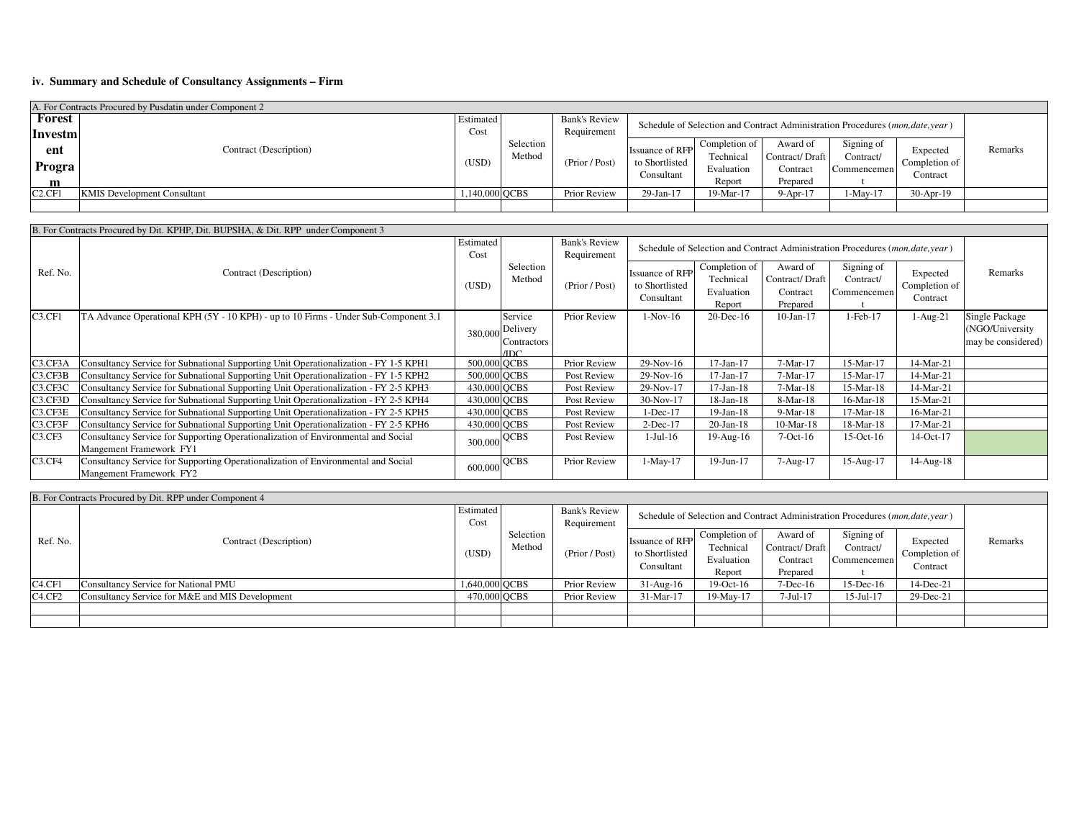## **iv. Summary and Schedule of Consultancy Assignments – Firm**

| A. For Contracts Procured by Pusdatin under Component 2 |                                    |                |                     |                                                                                               |                        |                           |                            |                         |               |         |  |
|---------------------------------------------------------|------------------------------------|----------------|---------------------|-----------------------------------------------------------------------------------------------|------------------------|---------------------------|----------------------------|-------------------------|---------------|---------|--|
| Forest                                                  |                                    | Estimated      |                     | <b>Bank's Review</b>                                                                          |                        |                           |                            |                         |               |         |  |
| Investm                                                 |                                    |                |                     | Schedule of Selection and Contract Administration Procedures (mon, date, year)<br>Requirement |                        |                           |                            |                         |               |         |  |
| ent                                                     | Contract (Description)             |                | Selection<br>Method |                                                                                               | <b>Issuance of RFP</b> | Completion of<br>Technica | Award of<br>Contract/Draft | Signing of<br>Contract/ | Expected      | Remarks |  |
| Progra                                                  |                                    | (USD)          |                     | (Prior / Post)                                                                                | to Shortlisted         | Evaluation                | Contract                   | Commencemen             | Completion of |         |  |
| m                                                       |                                    |                |                     |                                                                                               | Consultant             | Report                    | Prepared                   |                         | Contract      |         |  |
| C2.CF1                                                  | <b>KMIS Development Consultant</b> | 1,140,000 OCBS |                     | Prior Review                                                                                  | 29-Jan-17              | 19-Mar-17                 | $9-Apr-17$                 | $1-Mav-17$              | 30-Apr-19     |         |  |
|                                                         |                                    |                |                     |                                                                                               |                        |                           |                            |                         |               |         |  |

|          | B. For Contracts Procured by Dit. KPHP, Dit. BUPSHA, & Dit. RPP under Component 3                            |                   |                                            |                                     |                                                                                |                                                    |                                                    |                                        |                                       |                                                         |
|----------|--------------------------------------------------------------------------------------------------------------|-------------------|--------------------------------------------|-------------------------------------|--------------------------------------------------------------------------------|----------------------------------------------------|----------------------------------------------------|----------------------------------------|---------------------------------------|---------------------------------------------------------|
|          |                                                                                                              | Estimated<br>Cost |                                            | <b>Bank's Review</b><br>Requirement | Schedule of Selection and Contract Administration Procedures (mon, date, year) |                                                    |                                                    |                                        |                                       |                                                         |
| Ref. No. | Contract (Description)                                                                                       | (USD)             | Selection<br>Method                        | (Prior / Post)                      | Issuance of RFP<br>to Shortlisted<br>Consultant                                | Completion of<br>Technical<br>Evaluation<br>Report | Award of<br>Contract/Draft<br>Contract<br>Prepared | Signing of<br>Contract/<br>Commencemen | Expected<br>Completion of<br>Contract | Remarks                                                 |
| C3.CF1   | TA Advance Operational KPH (5Y - 10 KPH) - up to 10 Firms - Under Sub-Component 3.1                          | 380,000           | Service<br>Delivery<br>Contractors<br>/IDC | Prior Review                        | $1-Nov-16$                                                                     | $20$ -Dec-16                                       | $10$ -Jan- $17$                                    | 1-Feb-17                               | $1-Aug-21$                            | Single Package<br>(NGO/University<br>may be considered) |
| C3.CF3A  | Consultancy Service for Subnational Supporting Unit Operationalization - FY 1-5 KPH1                         | 500,000 QCBS      |                                            | <b>Prior Review</b>                 | 29-Nov-16                                                                      | $17-Jan-17$                                        | $7-Mar-17$                                         | 15-Mar-17                              | 14-Mar-21                             |                                                         |
| C3.CF3B  | Consultancy Service for Subnational Supporting Unit Operationalization - FY 1-5 KPH2                         | 500,000 QCBS      |                                            | Post Review                         | 29-Nov-16                                                                      | $17$ -Jan- $17$                                    | $7-Mar-17$                                         | 15-Mar-17                              | 14-Mar-21                             |                                                         |
| C3.CF3C  | Consultancy Service for Subnational Supporting Unit Operationalization - FY 2-5 KPH3                         | 430,000 QCBS      |                                            | Post Review                         | 29-Nov-17                                                                      | $17$ -Jan- $18$                                    | 7-Mar-18                                           | 15-Mar-18                              | 14-Mar-21                             |                                                         |
| C3.CF3D  | Consultancy Service for Subnational Supporting Unit Operationalization - FY 2-5 KPH4                         | 430,000 QCBS      |                                            | Post Review                         | 30-Nov-17                                                                      | $18$ -Jan- $18$                                    | 8-Mar-18                                           | 16-Mar-18                              | 15-Mar-21                             |                                                         |
| C3.CF3E  | Consultancy Service for Subnational Supporting Unit Operationalization - FY 2-5 KPH5                         | 430,000 QCBS      |                                            | Post Review                         | 1-Dec-17                                                                       | $19$ -Jan- $18$                                    | 9-Mar-18                                           | $17-Mar-18$                            | 16-Mar-21                             |                                                         |
| C3.CF3F  | Consultancy Service for Subnational Supporting Unit Operationalization - FY 2-5 KPH6                         | 430,000 QCBS      |                                            | Post Review                         | $2$ -Dec-17                                                                    | $20$ -Jan-18                                       | $10-Mar-18$                                        | $18-Mar-18$                            | $17-Mar-21$                           |                                                         |
| C3.CF3   | Consultancy Service for Supporting Operationalization of Environmental and Social<br>Mangement Framework FY1 | 300,000           | QCBS                                       | Post Review                         | $1-Jul-16$                                                                     | $19$ -Aug- $16$                                    | $7-Oct-16$                                         | $15$ -Oct- $16$                        | 14-Oct-17                             |                                                         |
| C3.CF4   | Consultancy Service for Supporting Operationalization of Environmental and Social<br>Mangement Framework FY2 | 600,000           | <b>QCBS</b>                                | Prior Review                        | $1-May-17$                                                                     | 19-Jun-17                                          | 7-Aug-17                                           | 15-Aug-17                              | $14$ -Aug- $18$                       |                                                         |

|                                 | B. For Contracts Procured by Dit. RPP under Component 4 |                   |                                                                                                                       |                |                                                        |                                                    |                                                    |                                        |                                       |         |
|---------------------------------|---------------------------------------------------------|-------------------|-----------------------------------------------------------------------------------------------------------------------|----------------|--------------------------------------------------------|----------------------------------------------------|----------------------------------------------------|----------------------------------------|---------------------------------------|---------|
|                                 |                                                         | Estimated<br>Cost | <b>Bank's Review</b><br>Schedule of Selection and Contract Administration Procedures (mon, date, year)<br>Requirement |                |                                                        |                                                    |                                                    |                                        |                                       |         |
| Ref. No.                        | Contract (Description)                                  | (USD)             | Selection<br>Method                                                                                                   | (Prior / Post) | <b>Issuance of RFP</b><br>to Shortlisted<br>Consultant | Completion of<br>Technical<br>Evaluation<br>Report | Award of<br>Contract/Draft<br>Contract<br>Prepared | Signing of<br>Contract/<br>Commencemen | Expected<br>Completion of<br>Contract | Remarks |
| C <sub>4</sub> .CF <sub>1</sub> | Consultancy Service for National PMU                    | 1,640,000 OCBS    |                                                                                                                       | Prior Review   | $31-Aug-16$                                            | $19-Oct-16$                                        | $7-Dec-16$                                         | $15$ -Dec-16                           | 14-Dec-21                             |         |
| C <sub>4</sub> .CF <sub>2</sub> | Consultancy Service for M&E and MIS Development         | 470,000 OCBS      |                                                                                                                       | Prior Review   | 31-Mar-17                                              | 19-May-17                                          | 7-Jul-17                                           | 15-Jul-17                              | 29-Dec-21                             |         |
|                                 |                                                         |                   |                                                                                                                       |                |                                                        |                                                    |                                                    |                                        |                                       |         |
|                                 |                                                         |                   |                                                                                                                       |                |                                                        |                                                    |                                                    |                                        |                                       |         |